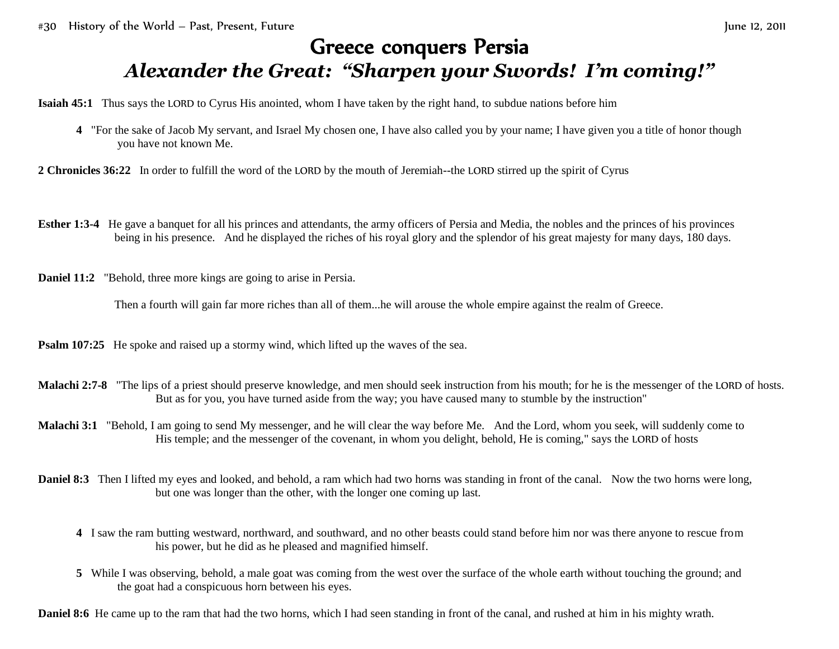## Greece conquers Persia *Alexander the Great: "Sharpen your Swords! I'm coming!"*

**Isaiah 45:1** Thus says the LORD to Cyrus His anointed, whom I have taken by the right hand, to subdue nations before him

- **4** "For the sake of Jacob My servant, and Israel My chosen one, I have also called you by your name; I have given you a title of honor though you have not known Me.
- **2 Chronicles 36:22** In order to fulfill the word of the LORD by the mouth of Jeremiah--the LORD stirred up the spirit of Cyrus
- **Esther 1:3-4** He gave a banquet for all his princes and attendants, the army officers of Persia and Media, the nobles and the princes of his provinces being in his presence. And he displayed the riches of his royal glory and the splendor of his great majesty for many days, 180 days.
- **Daniel 11:2** "Behold, three more kings are going to arise in Persia.

Then a fourth will gain far more riches than all of them...he will arouse the whole empire against the realm of Greece.

**Psalm 107:25** He spoke and raised up a stormy wind, which lifted up the waves of the sea.

- **Malachi 2:7-8** "The lips of a priest should preserve knowledge, and men should seek instruction from his mouth; for he is the messenger of the LORD of hosts. But as for you, you have turned aside from the way; you have caused many to stumble by the instruction"
- **Malachi 3:1** "Behold, I am going to send My messenger, and he will clear the way before Me. And the Lord, whom you seek, will suddenly come to His temple; and the messenger of the covenant, in whom you delight, behold, He is coming," says the LORD of hosts
- **Daniel 8:3** Then I lifted my eyes and looked, and behold, a ram which had two horns was standing in front of the canal. Now the two horns were long, but one was longer than the other, with the longer one coming up last.
	- **4** I saw the ram butting westward, northward, and southward, and no other beasts could stand before him nor was there anyone to rescue from his power, but he did as he pleased and magnified himself.
	- **5** While I was observing, behold, a male goat was coming from the west over the surface of the whole earth without touching the ground; and the goat had a conspicuous horn between his eyes.

**Daniel 8:6** He came up to the ram that had the two horns, which I had seen standing in front of the canal, and rushed at him in his mighty wrath.